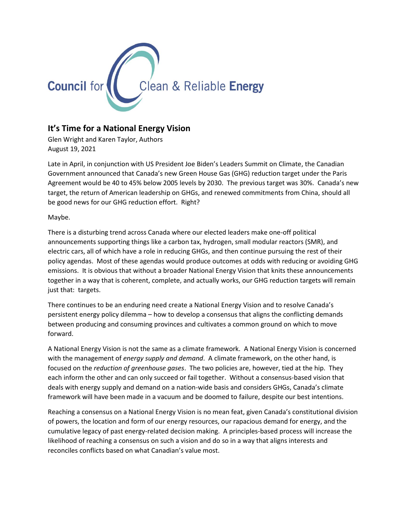

## **It's Time for a National Energy Vision**

Glen Wright and Karen Taylor, Authors August 19, 2021

Late in April, in conjunction with US President Joe Biden's Leaders Summit on Climate, the Canadian Government announced that Canada's new Green House Gas (GHG) reduction target under the Paris Agreement would be 40 to 45% below 2005 levels by 2030. The previous target was 30%. Canada's new target, the return of American leadership on GHGs, and renewed commitments from China, should all be good news for our GHG reduction effort. Right?

Maybe.

There is a disturbing trend across Canada where our elected leaders make one-off political announcements supporting things like a carbon tax, hydrogen, small modular reactors (SMR), and electric cars, all of which have a role in reducing GHGs, and then continue pursuing the rest of their policy agendas. Most of these agendas would produce outcomes at odds with reducing or avoiding GHG emissions. It is obvious that without a broader National Energy Vision that knits these announcements together in a way that is coherent, complete, and actually works, our GHG reduction targets will remain just that: targets.

There continues to be an enduring need create a National Energy Vision and to resolve Canada's persistent energy policy dilemma – how to develop a consensus that aligns the conflicting demands between producing and consuming provinces and cultivates a common ground on which to move forward.

A National Energy Vision is not the same as a climate framework. A National Energy Vision is concerned with the management of *energy supply and demand*. A climate framework, on the other hand, is focused on the *reduction of greenhouse gases*. The two policies are, however, tied at the hip. They each inform the other and can only succeed or fail together. Without a consensus-based vision that deals with energy supply and demand on a nation-wide basis and considers GHGs, Canada's climate framework will have been made in a vacuum and be doomed to failure, despite our best intentions.

Reaching a consensus on a National Energy Vision is no mean feat, given Canada's constitutional division of powers, the location and form of our energy resources, our rapacious demand for energy, and the cumulative legacy of past energy-related decision making. A principles-based process will increase the likelihood of reaching a consensus on such a vision and do so in a way that aligns interests and reconciles conflicts based on what Canadian's value most.